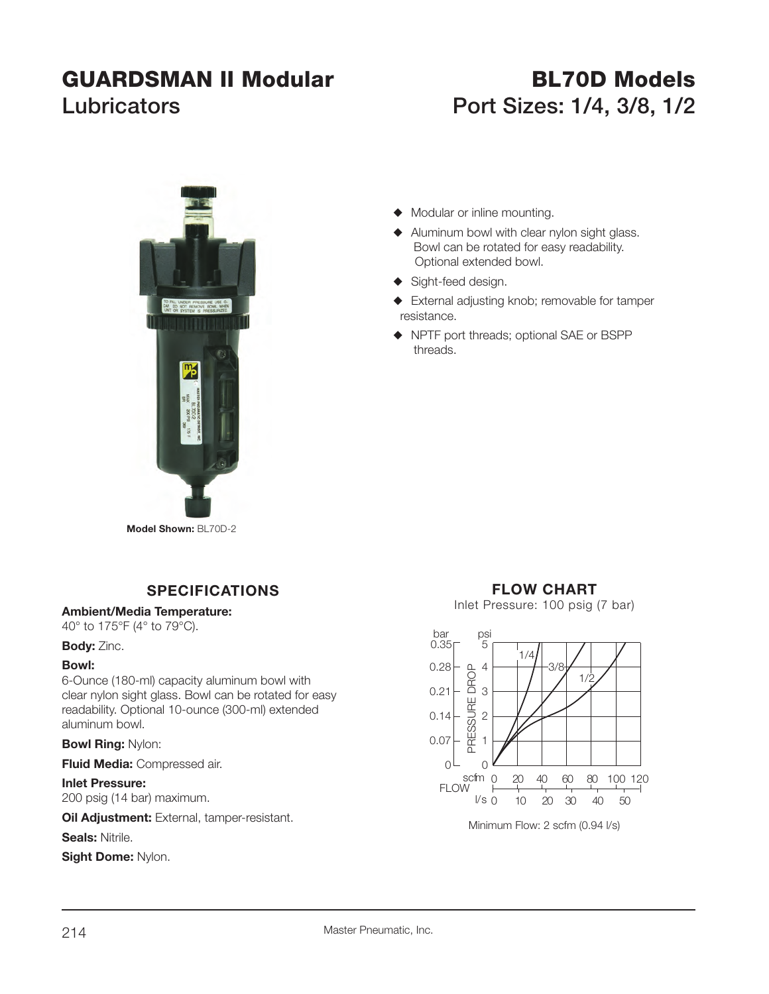# **GUARDSMAN II Modular BL70D ModelsLubricators Port Sizes: 1/4, 3/8, 1/2**



- $\blacklozenge$  Modular or inline mounting.
- $\blacklozenge$  Aluminum bowl with clear nylon sight glass. Bowl can be rotated for easy readability. Optional extended bowl.
- ◆ Sight-feed design.
- $\blacklozenge$  External adjusting knob; removable for tamper resistance.
- ◆ NPTF port threads; optional SAE or BSPP threads.

**Model Shown:** BL70D-2

# **SPECIFICATIONS**

#### **Ambient/Media Temperature:**

40° to 175°F (4° to 79°C).

#### **Body:** Zinc.

#### **Bowl:**

6-Ounce (180-ml) capacity aluminum bowl with clear nylon sight glass. Bowl can be rotated for easy readability. Optional 10-ounce (300-ml) extended aluminum bowl.

## **Bowl Ring:** Nylon:

**Fluid Media:** Compressed air.

### **Inlet Pressure:**

200 psig (14 bar) maximum.

**Oil Adjustment:** External, tamper-resistant.

**Seals:** Nitrile.

**Sight Dome:** Nylon.

# **FLOW CHART**

Inlet Pressure: 100 psig (7 bar)